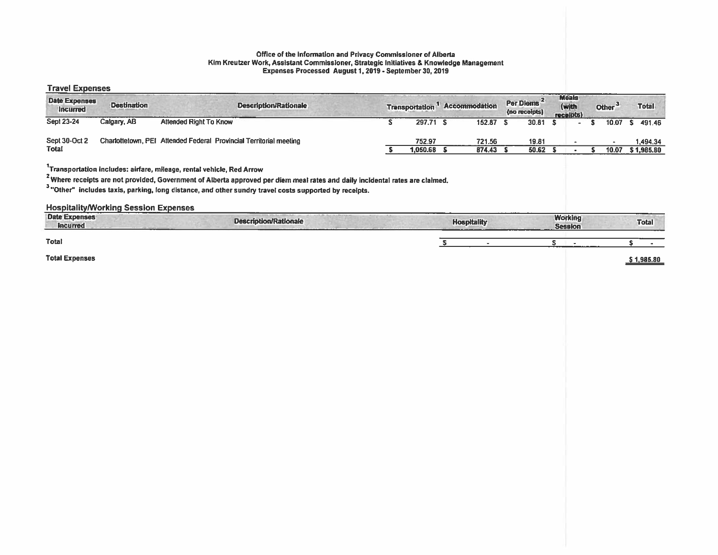#### Office of the Information and Privacy Commissioner of Alberta Kim Kreutzer Work, Assistant Commissioner, Strategic Initiatives & Knowledge Management Expenses Processed August 1,2019 - September 30, 2019

#### Travel Expenses

| <b>Date Expenses</b><br><b>Incurred</b> | <b>Destination</b> |                                                                    | Description/Rationale | <b>Transportation</b> | <b>Accommodation</b> | Per Diems <sup>2</sup><br>(no receipts) | <b>Meals</b><br>(with<br>receipts) | Other <sup>3</sup> | <b>Total</b> |
|-----------------------------------------|--------------------|--------------------------------------------------------------------|-----------------------|-----------------------|----------------------|-----------------------------------------|------------------------------------|--------------------|--------------|
| <b>Sept 23-24</b>                       | Calgary, AB        | <b>Attended Right To Know</b>                                      |                       | 297.71                | 152.87               | 30.81                                   |                                    | $10.07$ S          | 491.46       |
| Sept 30-Oct 2                           |                    | Charlottetown, PEI Attended Federal Provincial Territorial meeting |                       | 752.97                | 721.56               | 19.81                                   |                                    |                    | 1.494.34     |
| Total                                   |                    |                                                                    |                       | .050.68               | 874.43               | 50.62                                   |                                    | 10.07              | \$1,985.80   |

1Transporlation includes: airfare, mileage, rental vehicle, Red Arrow

2Where receipts are not provided, Government of Alberta approve<sup>d</sup> per diem meal rates and daily incidental rates are claimed. '

"Other" includes taxis, parking, long distance, and other sundry travel costs supported by receipts.

HospitalitylWorking Session Expenses

| <b>Date Expenses</b><br><b>Incurred</b> | <b>Description/Rationale</b> | <b>Hospitality</b><br>----------- | <b>Working</b><br><b>Session</b> | <b>Total</b> |
|-----------------------------------------|------------------------------|-----------------------------------|----------------------------------|--------------|
| Total                                   |                              |                                   |                                  |              |
| <b>Total Expenses</b>                   |                              |                                   |                                  | 1.985.80     |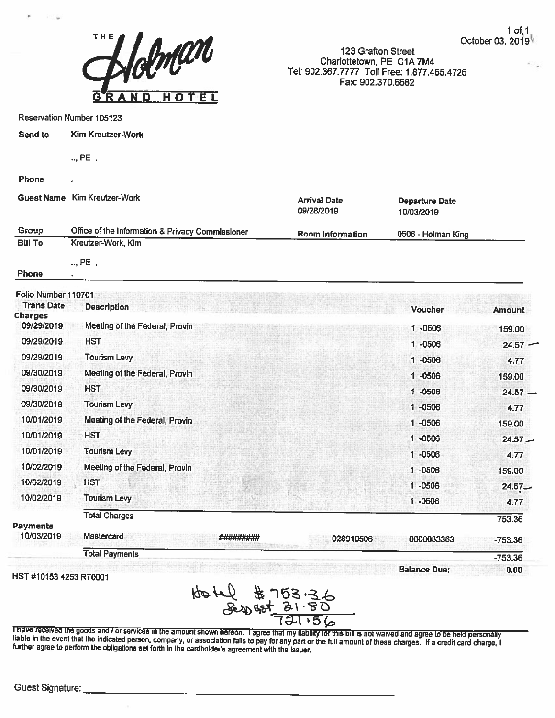

123 Grafton Street Charlottetown, PE CiA 7M4 Tel: 902.367.7777 Toll Free: 1.877.455.4726 Fax: 902.370.6562

Departure Date

Reservation Number 105123

| Send to | Kim Kreutzer-Work |
|---------|-------------------|
|---------|-------------------|

 $\ldots$  PE  $\ldots$ 

### Phone

Guest Name Kim Kreutzer-Work Arrival Date

|                |                                                  | 09/28/2019       | 10/03/2019         |
|----------------|--------------------------------------------------|------------------|--------------------|
| Group          | Office of the Information & Privacy Commissioner | Room Information | 0506 - Holman King |
| <b>Bill To</b> | Kreutzer-Work, Kim                               |                  |                    |

.., PE

Phone

| Folio Number 110701    |                                |           |           |                     |               |
|------------------------|--------------------------------|-----------|-----------|---------------------|---------------|
| <b>Trans Date</b>      | <b>Description</b>             |           |           | <b>Voucher</b>      | <b>Amount</b> |
| <b>Charges</b>         |                                |           |           |                     |               |
| 09/29/2019             | Meeting of the Federal, Provin |           |           | 1-0506              | 159.00        |
| 09/29/2019             | <b>HST</b>                     |           |           | 1 -0506             | 24.57         |
| 09/29/2019             | <b>Tourism Levy</b>            |           |           | 1-0506              | 4.77          |
| 09/30/2019             | Meeting of the Federal, Provin |           |           | $1 - 0506$          | 159.00        |
| 09/30/2019             | <b>HST</b>                     |           |           | 1 -0506             | $24.57 -$     |
| 09/30/2019             | <b>Tourism Levy</b>            |           |           | 1 -0506             | 4.77          |
| 10/01/2019             | Meeting of the Federal, Provin |           |           | $1 - 0506$          | 159.00        |
| 10/01/2019             | <b>HST</b>                     |           |           | $1 - 0506$          | $24.57 -$     |
| 10/01/2019             | <b>Tourism Levy</b>            |           |           | 1 -0506             | 4.77          |
| 10/02/2019             | Meeting of the Federal, Provin |           |           | 1 -0506             | 159.00        |
| 10/02/2019             | <b>HST</b>                     |           |           | $1 - 0506$          | $24.57 -$     |
| 10/02/2019             | <b>Tourism Levy</b>            |           |           | 1 -0506             | 4.77          |
|                        | <b>Total Charges</b>           |           |           |                     | 753.36        |
| Payments<br>10/03/2019 | <b>Mastercard</b>              | ######### | 028910506 | 0000083363          | $-753.36$     |
|                        | <b>Total Payments</b>          |           |           |                     | $-753.36$     |
|                        |                                |           |           | <b>Balance Due:</b> | 0.00          |

lIST #101534253 RT0001

des tel  $85'$ er 721 <sub>'</sub> 56

Thave received the goods and / or services in the amount shown hereon. Tagree that my liability for this bill is not waived and agree to be held personally liable in the event that the indicated person, company, or associa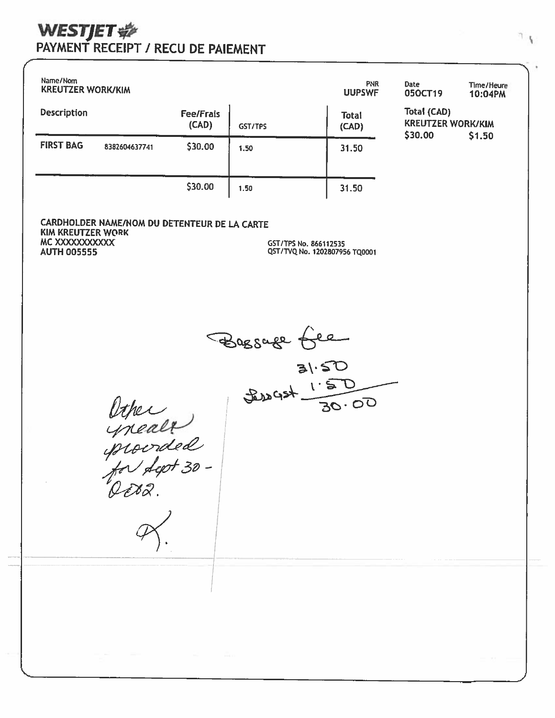# PAYMENT RECEIPT / RECU DE PAIEMENT

| Name/Nom<br><b>KREUTZER WORK/KIM</b> |               |                           | <b>PNR</b><br><b>UUPSWF</b> | Date<br>050CT19       | Time/Heure<br>10:04PM                              |        |  |
|--------------------------------------|---------------|---------------------------|-----------------------------|-----------------------|----------------------------------------------------|--------|--|
| <b>Description</b>                   |               | <b>Fee/Frais</b><br>(CAD) | GST/TPS                     | <b>Total</b><br>(CAD) | Total (CAD)<br><b>KREUTZER WORK/KIM</b><br>\$30.00 | \$1.50 |  |
| <b>FIRST BAG</b>                     | 8382604637741 | \$30.00                   | 1.50                        | 31.50                 |                                                    |        |  |
|                                      |               | \$30.00                   | 1.50                        | 31.50                 |                                                    |        |  |

CARDHOLDER NAME/NOM DU DETENTEUR DE LA CARTE **KIM KREUTZER WORK** MC XXXXXXXXXXX **AUTH 005555** 

GST/TPS No. 866112535 QST/TVQ No. 1202807956 TQ0001

Bagsage free

Other<br>procrated<br>for fept 30 -<br>Octo2.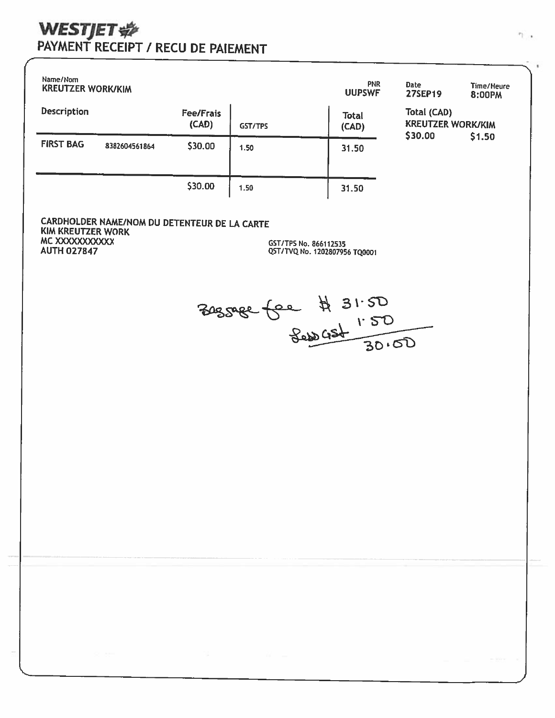# WESTJET SE NECU DE PAIEMENT

| Name/Nom<br><b>KREUTZER WORK/KIM</b> |               |                           | <b>PNR</b><br><b>UUPSWF</b> | Date<br><b>27SEP19</b> | Time/Heure<br>8:00PM |                                                              |  |  |
|--------------------------------------|---------------|---------------------------|-----------------------------|------------------------|----------------------|--------------------------------------------------------------|--|--|
| <b>Description</b>                   |               | <b>Fee/Frais</b><br>(CAD) | GST/TPS                     | <b>Total</b><br>(CAD)  |                      | Total (CAD)<br><b>KREUTZER WORK/KIM</b><br>\$30.00<br>\$1.50 |  |  |
| <b>FIRST BAG</b>                     | 8382604561864 | \$30.00                   | 1.50                        | 31.50                  |                      |                                                              |  |  |
|                                      |               | \$30.00                   | 1.50                        | 31.50                  |                      |                                                              |  |  |

CARDHOLDER NAME/NOM DU DETENTEUR DE LA CARTE **KIM KREUTZER WORK** MC XXXXXXXXXXX **AUTH 027847** 

GST/TPS No. 866112535 QST/TVQ No. 1202807956 TQ0001

305088 for # 31.50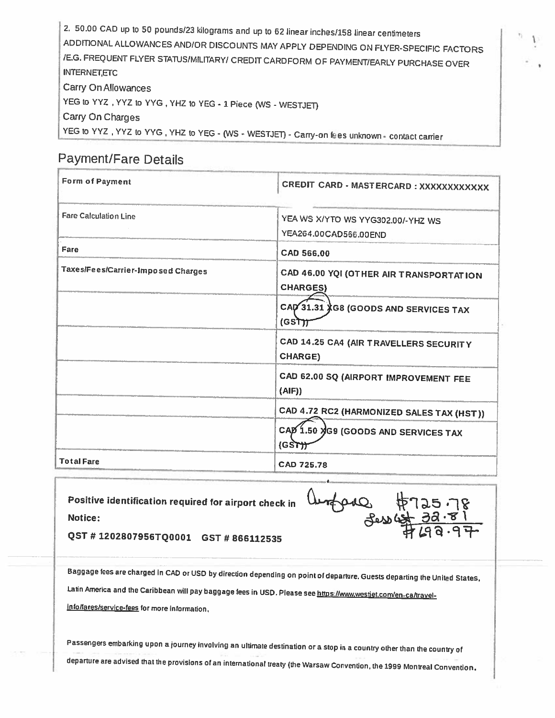2. 50.00 CAD up to <sup>50</sup> pounds/23 kilograms and up to <sup>62</sup> linear inches/158 linear centimeters ADDITIONAL ALLOWANCES AND/DR DISCOUNTS MAY APPLY DEPENDING ON FLYER-SPECIFIC FACTORS lEG. FREQUENT FLYER STATUS/MILITARY! CREDIT CARDFORM OF PAYMENT/EARLY PURCHASE OVER **INTERNET, ETC** Carry On Allowances YEG to YYZ, YYZ to YYG, YHZ to YEG - 1 Piece (WS - WESTJET) Carry On Charges YEG to YYZ, YYZ to YYG, YHZ to YEG - (WS - WESTJET) - Carry-on fees unknown - contact carrier

# Payment/Fare Details

| <b>Form of Payment</b>             | CREDIT CARD - MASTERCARD : XXXXXXXXXXXX                    |
|------------------------------------|------------------------------------------------------------|
| <b>Fare Calculation Line</b>       | YEA WS X/YTO WS YYG302.00/-YHZ WS<br>YEA264.00CAD566.00END |
| Fare                               | CAD 566.00                                                 |
| Taxes/Fees/Carrier-Imposed Charges | CAD 46.00 YQI (OTHER AIR TRANSPORTATION<br><b>CHARGES)</b> |
|                                    | CAD 31.31 XG8 (GOODS AND SERVICES TAX<br>(GST)             |
|                                    | CAD 14.25 CA4 (AIR TRAVELLERS SECURITY<br><b>CHARGE)</b>   |
|                                    | CAD 62.00 SQ (AIRPORT IMPROVEMENT FEE<br>(AIF)             |
|                                    | CAD 4.72 RC2 (HARMONIZED SALES TAX (HST))                  |
|                                    | CAD 1.50 YG9 (GOODS AND SERVICES TAX<br>(GST)              |
| <b>Total Fare</b>                  | CAD 725.78                                                 |

Positive identification required for airport check in Notice:

the Baston

QST # 1202807956TQ0001 GST #866112535

Baggage fees are charged in CAD or USD by direction depending on point of departure. Guests departing the United States, Latin America and the Caribbean will pay baggage fees in USD. Please see https://www.westiet.com/en-ca/travelinfollareslservice-fees far more information.

 $-1$ 

Passengers embarking upon a journey involving an ultimate destination or a stop in a country other than the country of departure are advised that the provisions of an international treaty (the warsaw Convention, the <sup>1999</sup> Montreal Convention,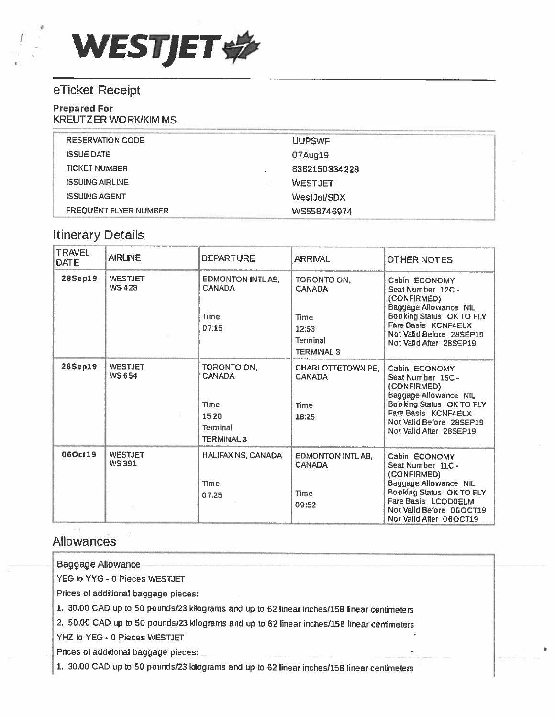

## eTicket Receipt

## Prepared For

KREUTZER WORK/KIM MS

| <b>RESERVATION CODE</b>      | <b>UUPSWF</b>  |
|------------------------------|----------------|
| <b>ISSUE DATE</b>            | 07Aug19        |
| <b>TICKET NUMBER</b>         | 8382150334228  |
| <b>ISSUING AIRLINE</b>       | <b>WESTJET</b> |
| <b>ISSUING AGENT</b>         | WestJet/SDX    |
| <b>FREQUENT FLYER NUMBER</b> | WS558746974    |

## Itinerary Details

| <b>TRAVEL</b><br><b>DATE</b> | <b>AIRLINE</b>                 | <b>DEPARTURE</b>                                                                             | <b>ARRIVAL</b>                                                                        | OTHER NOTES                                                                                                                                                                          |  |
|------------------------------|--------------------------------|----------------------------------------------------------------------------------------------|---------------------------------------------------------------------------------------|--------------------------------------------------------------------------------------------------------------------------------------------------------------------------------------|--|
| <b>28Sep19</b>               | <b>WESTJET</b><br><b>WS428</b> | <b>EDMONTON INTLAB,</b><br><b>CANADA</b><br><b>Time</b><br>07:15                             | TORONTO ON,<br><b>CANADA</b><br><b>Time</b><br>12:53<br>Terminal<br><b>TERMINAL 3</b> | Cabin ECONOMY<br>Seat Number 12C -<br>(CONFIRMED)<br>Baggage Allowance NIL<br>Booking Status OK TO FLY<br>Fare Basis KCNF4ELX<br>Not Valid Before 28SEP19<br>Not Valid After 28SEP19 |  |
| <b>28Sep19</b>               | <b>WESTJET</b><br><b>WS654</b> | TORONTO ON.<br><b>CANADA</b><br><b>Time</b><br>15:20<br><b>Terminal</b><br><b>TERMINAL 3</b> | CHARLOTTETOWN PE.<br><b>CANADA</b><br><b>Time</b><br>18:25                            | Cabin ECONOMY<br>Seat Number 15C -<br>(CONFIRMED)<br>Baggage Allowance NIL<br>Booking Status OK TO FLY<br>Fare Basis KCNF4ELX<br>Not Valid Before 28SEP19<br>Not Valid After 28SEP19 |  |
| 06Oct19                      | <b>WESTJET</b><br><b>WS391</b> | <b>HALIFAX NS, CANADA</b><br>Time<br>07:25                                                   | <b>EDMONTON INTLAB.</b><br><b>CANADA</b><br><b>Time</b><br>09:52                      | Cabin ECONOMY<br>Seat Number 11C -<br>(CONFIRMED)<br>Baggage Allowance NIL<br>Booking Status OK TO FLY<br>Fare Basis LCQD0ELM<br>Not Valid Before 06OCT19<br>Not Valid After 06OCT19 |  |

## Allowances

Baggage Allowance

YEG to YYG - 0 Pieces WESTJET

Prices of additional baggage <sup>p</sup>ieces:

1. 30.00 CAD up to <sup>50</sup> pounds/23 kilograms and up to <sup>62</sup> linear inches/158 linear centimeters

2. 50.00 CAD up to <sup>50</sup> pounds/23 kilograms and up to <sup>62</sup> linear inches/158 linear centimeters

YHZ to YEG - 0 Pieces WESTJET

Prices of additional baggage pieces:

1. 30.00 CAD up to <sup>50</sup> pounds/23 kilograms and up to <sup>62</sup> linear inches/158 linear centimeters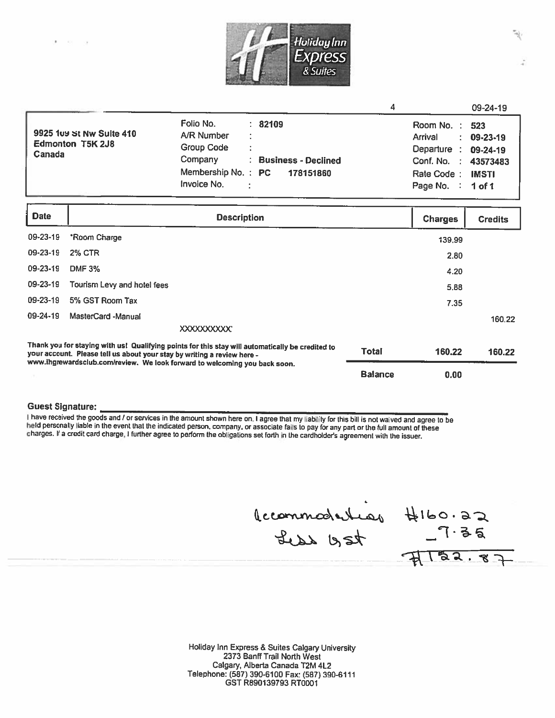

|                                                                      |                                                                                       |   |                                               |                                                                                                                             | 09-24-19                 |
|----------------------------------------------------------------------|---------------------------------------------------------------------------------------|---|-----------------------------------------------|-----------------------------------------------------------------------------------------------------------------------------|--------------------------|
| 9925 1u9 St Nw Suite 410<br><b>Edmonton T5K 2J8</b><br><b>Canada</b> | Folio No.<br>A/R Number<br>Group Code<br>Company<br>Membership No.: PC<br>Invoice No. | ÷ | : 82109<br>: Business - Declined<br>178151860 | Room No.: 523<br>Arrival<br>÷<br>Departure : 09-24-19<br>Conf. No. : 43573483<br>Rate Code:<br>Page No. $\therefore$ 1 of 1 | 09-23-19<br><b>IMSTI</b> |
|                                                                      |                                                                                       |   |                                               |                                                                                                                             |                          |

| <b>Date</b>                                                                                                                                                                                                                                               | <b>Description</b>          |                | <b>Charges</b> | <b>Credits</b> |
|-----------------------------------------------------------------------------------------------------------------------------------------------------------------------------------------------------------------------------------------------------------|-----------------------------|----------------|----------------|----------------|
| 09-23-19                                                                                                                                                                                                                                                  | *Room Charge                |                | 139.99         |                |
| 09-23-19                                                                                                                                                                                                                                                  | <b>2% CTR</b>               |                | 2.80           |                |
| 09-23-19                                                                                                                                                                                                                                                  | <b>DMF 3%</b>               |                | 4.20           |                |
| $09 - 23 - 19$                                                                                                                                                                                                                                            | Tourism Levy and hotel fees |                | 5.88           |                |
| 09-23-19                                                                                                                                                                                                                                                  | 5% GST Room Tax             |                | 7.35           |                |
| 09-24-19                                                                                                                                                                                                                                                  | MasterCard -Manual          |                |                | 160.22         |
|                                                                                                                                                                                                                                                           |                             |                |                |                |
| Thank you for staying with us! Qualifying points for this stay will automatically be credited to<br>your account. Please tell us about your stay by writing a review here -<br>www.ihgrewardsclub.com/review. We look forward to welcoming you back soon. |                             | <b>Total</b>   | 160.22         | 160.22         |
|                                                                                                                                                                                                                                                           |                             | <b>Balance</b> | 0.00           |                |

## Guest Signature:

I have received the goods and / or services in the amount shown here on. I agree that my liability for this bill is not walved and agree to be held personally liable in the event that the indicated person, company, or asso

 $\begin{array}{rcl}\n\text{1.23}\n & & & \text{1.24}\n\end{array}$ 

Holiday Inn Express & Suites Calgary University 2373 Banff Trail North West Calgary, Alberta Canada T2M 4L2 Telephone: (587) 390-6100 Fax: (587) 390-6111 GST R89o139793 RT0001

 $182.87$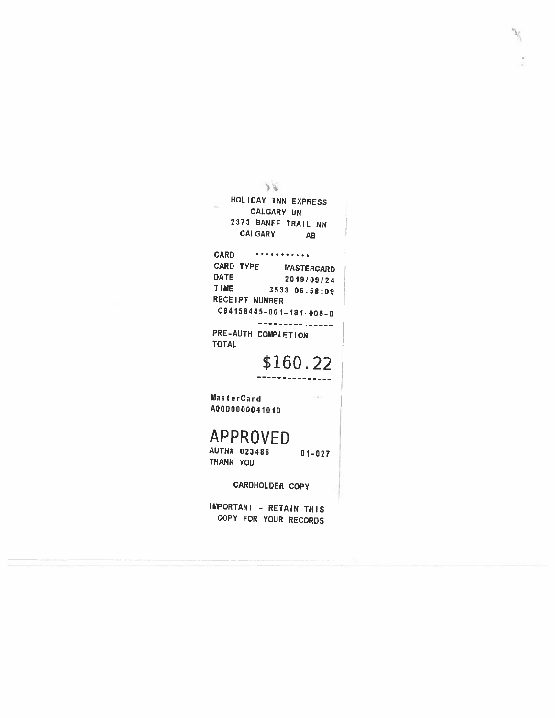$\overline{\theta}$  ( HOLIDAY INN EXPRESS CALGARY UN 2373 BANFF TRAIL NW CALGARY **AB CARD** \*\*\*\*\*\*\*\*\*\*\* CARD TYPE MASTERCARD **DATE** 2019/09/24 TIME 3533 06:58:09 RECEIPT NUMBER  $C84158445 - 001 - 181 - 005 - 0$ ---------------PRE-AUTH COMPLETION **TOTAL** \$160.22 MasterCard A0000000041010 **APPROVED** AUTH# 023486  $01 - 027$ THANK YOU CARDHOLDER COPY

 $\mathcal{I}$ 

IMPORTANT - RETAIN THIS COPY FOR YOUR RECORDS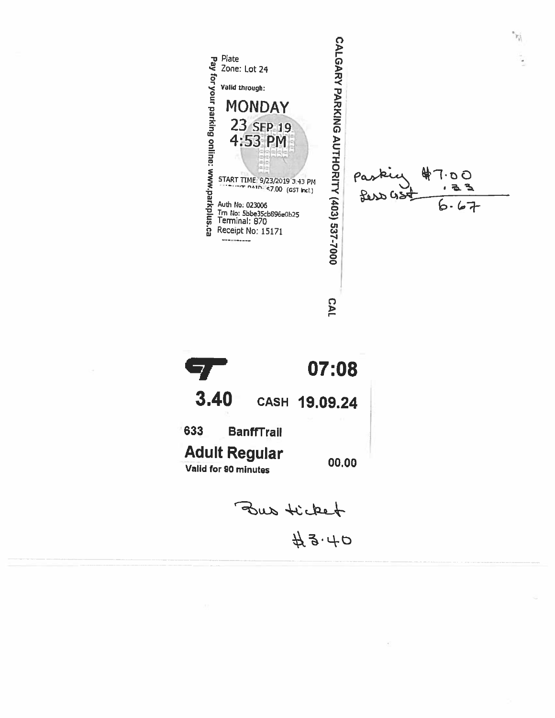



 $43.40$ 

 $O$   $O \cdot \Gamma$ 

るる

 $67$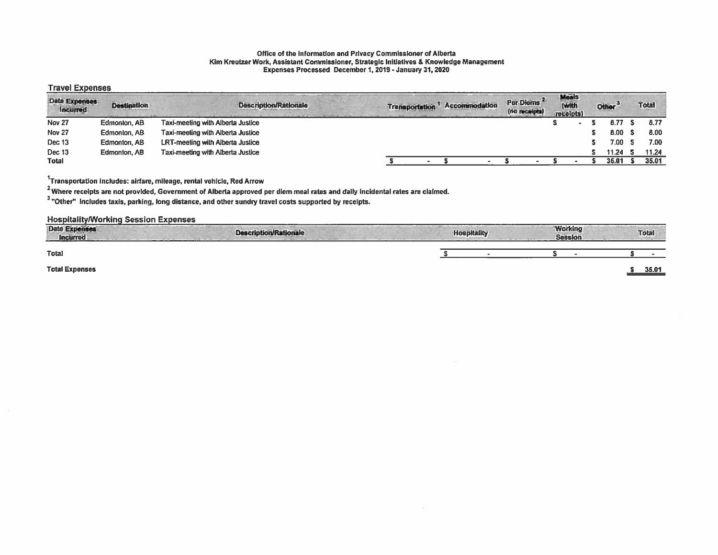#### Office of the Information and Privacy Commissioner of Alberta Kim Kreutzer Work, Assistant Commissioner, Strategic Initiatives & Knowledge Management Expenses Processed December 1, 2019 -January 31, 2020

## Travel Expenses

| <b>Date Expenses</b><br>Incurred | <b>Destination</b> | <b>Description/Rationale</b>            | <b>Transportation</b> | Accommodation | Per Diems<br>(no receipts) | Meals<br>(with<br>receipts) | Other <sup>3</sup> | <b>Total</b> |
|----------------------------------|--------------------|-----------------------------------------|-----------------------|---------------|----------------------------|-----------------------------|--------------------|--------------|
| <b>Nov 27</b>                    | Edmonton, AB       | Taxi-meeting with Alberta Justice       |                       |               |                            |                             | 8.77 S             | 8.77         |
| Nov <sub>27</sub>                | Edmonton, AB       | Taxi-meeting with Alberta Justice       |                       |               |                            |                             | 8.00 S             | 8.00         |
| Dec 13                           | Edmonton, AB       | <b>LRT-meeting with Alberta Justice</b> |                       |               |                            |                             | 7.00 S             | 7.00         |
| Dec 13                           | Edmonton, AB       | Taxi-meeting with Alberta Justice       |                       |               |                            |                             | 11.24              | 11.24        |
| <b>Total</b>                     |                    |                                         |                       |               |                            |                             | 35.01              | 35.01        |

'Transportation includes: airfare, mileage, rental vehicle, Red Arrow

2 Where receipts are not provided, Government of Alberta approved per diem meal rates and daily incidental rates are claimed.

3"Other' includes taxis, parking, long distance, and other sundry travel costs supported by receipts.

## Hospitality/Working Session Expenses

| Date Expenses<br><b>Incurred</b> | --------<br><b>Description/Rationale</b> | <b>Hospitality</b> | <b>Working</b><br><b>Session</b> | <b>Total</b> |
|----------------------------------|------------------------------------------|--------------------|----------------------------------|--------------|
| Total                            |                                          |                    |                                  |              |
| <b>Total Expenses</b>            |                                          |                    |                                  | 35.01        |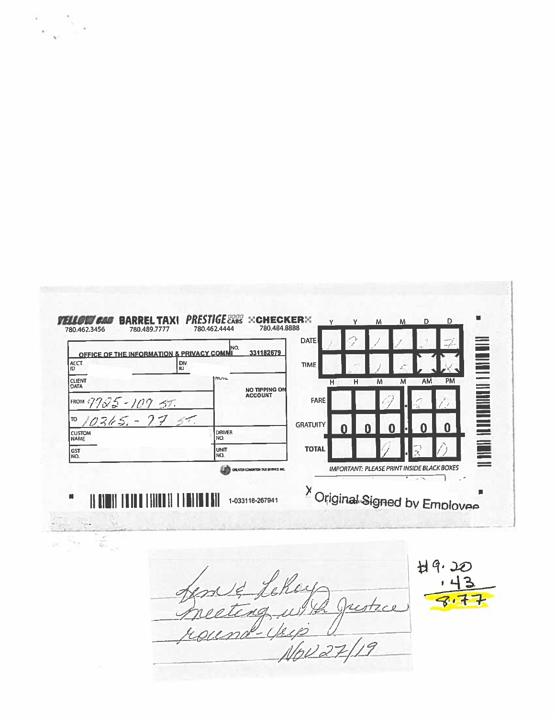

 $\mathbf{K} = \frac{1}{2} \mathbf{e}^{-\frac{1}{2} \mathbf{e}^{-\frac{1}{2} \mathbf{e}^{-\frac{1}{2} \mathbf{e}^{-\frac{1}{2} \mathbf{e}^{-\frac{1}{2} \mathbf{e}^{-\frac{1}{2} \mathbf{e}^{-\frac{1}{2} \mathbf{e}^{-\frac{1}{2} \mathbf{e}^{-\frac{1}{2} \mathbf{e}^{-\frac{1}{2} \mathbf{e}^{-\frac{1}{2} \mathbf{e}^{-\frac{1}{2} \mathbf{e}^{-\frac{1}{2} \mathbf{e}^{-\frac{1}{2} \mathbf{e}^{-\frac{$ 

 $H9.20$ Lekey reste

NOV 27/19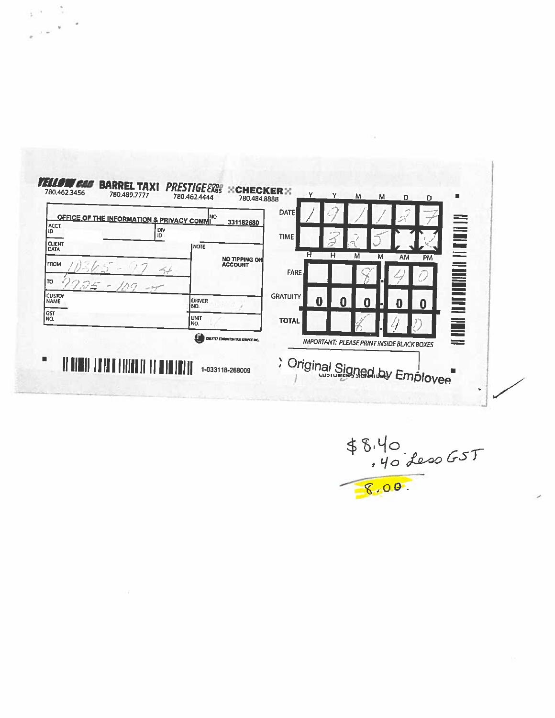| <b>OFFICE OF THE INFORMATION &amp; PRIVACY COMMI</b><br>ACCT.<br>iD | NO.<br>331182680<br>' Div<br>ID          | <b>TIME</b>          |                                                   | <b>ENER</b>             |  |
|---------------------------------------------------------------------|------------------------------------------|----------------------|---------------------------------------------------|-------------------------|--|
| <b>CLIENT</b><br><b>DATA</b>                                        | <b>INOTE</b>                             | н                    | н<br>M<br>M<br><b>AM</b>                          | --<br><b>PM</b>         |  |
| <b>FROM</b><br>סד                                                   | NO TIPPING ON<br>ACCOUNT<br>$ +$         | FARE                 |                                                   | <b>NORTH AND AGENCY</b> |  |
| 2.75<br>$-109$<br><b>CUSTOP</b><br><b>NAME</b>                      | <b>ORIVER</b><br>NO.                     | <b>GRATUITY</b><br>0 |                                                   | n                       |  |
| <b>GST</b><br>NO.                                                   | <b>lunit</b><br>NO.                      | <b>TOTAL</b>         |                                                   |                         |  |
|                                                                     | LΙ<br>CREATER EDMONTON TAXI SERVICE ANC. |                      | <b>IMPORTANT: PLEASE PRINT INSIDE BLACK BOXES</b> |                         |  |

 $\begin{array}{cc} \mathbf{y} & \mathbf{y} & \mathbf{y} \\ \mathbf{y} & \mathbf{y} & \mathbf{y} \\ \mathbf{y} & \mathbf{y} & \mathbf{y} \end{array}$ 

ä.

 $$8.40$ <br>.40 des0 GST<br>8.00.

 $\bar{\alpha}$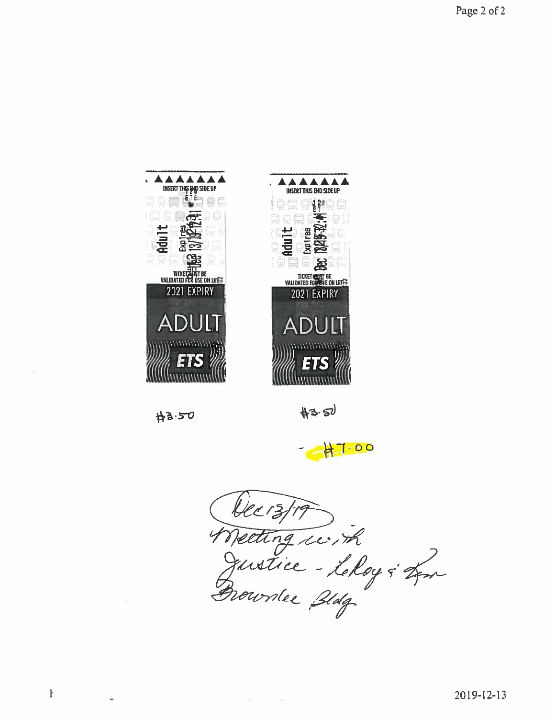

 $H3.50$ 

ó.

ł

 $#3.50$ 

 $700$ 

Decistro<br>Weeting ici, ik<br>Gustice - Lehoy & Lon

 $\alpha = \frac{1}{2}$  , and  $\alpha = 1$